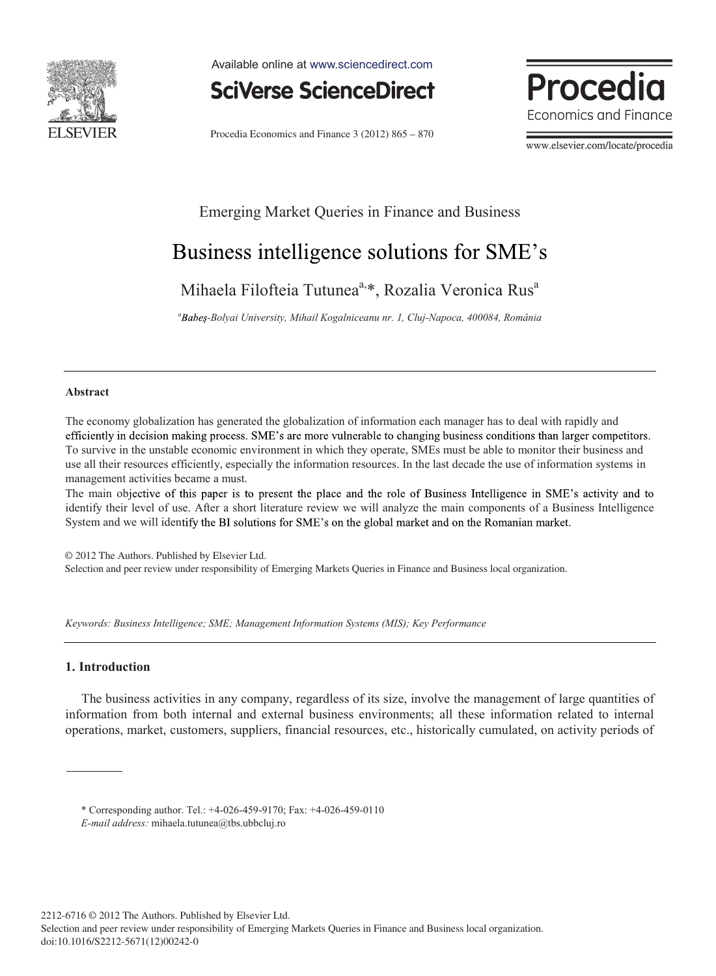

Available online at www.sciencedirect.com



Procedia Economics and Finance 3 (2012) 865 – 870

Procedia Economics and Finance

www.elsevier.com/locate/procedia

## Emerging Market Queries in Finance and Business

# Business intelligence solutions for SME's

Mihaela Filofteia Tutunea<sup>a,\*</sup>, Rozalia Veronica Rus<sup>a</sup>

*<sup>a</sup> -Bolyai University, Mihail Kogalniceanu nr. 1, Cluj-Napoca, 400084, România* 

#### **Abstract**

The economy globalization has generated the globalization of information each manager has to deal with rapidly and efficiently in decision making process. SME's are more vulnerable to changing business conditions than larger competitors. To survive in the unstable economic environment in which they operate, SMEs must be able to monitor their business and use all their resources efficiently, especially the information resources. In the last decade the use of information systems in management activities became a must.

The main objective of this paper is to present the place and the role of Business Intelligence in SME's activity and to identify their level of use. After a short literature review we will analyze the main components of a Business Intelligence System and we will identify the BI solutions for SME's on the global market and on the Romanian market.

© 2012 The Authors. Published by Elsevier Ltd. Selection and peer review under responsibility of Emerging Markets Queries in Finance and Business local organization.

*Keywords: Business Intelligence; SME; Management Information Systems (MIS); Key Performance*

### **1. Introduction**

The business activities in any company, regardless of its size, involve the management of large quantities of information from both internal and external business environments; all these information related to internal operations, market, customers, suppliers, financial resources, etc., historically cumulated, on activity periods of

\* Corresponding author. Tel.: +4-026-459-9170; Fax: +4-026-459-0110

*E-mail address:* mihaela.tutunea@tbs.ubbcluj.ro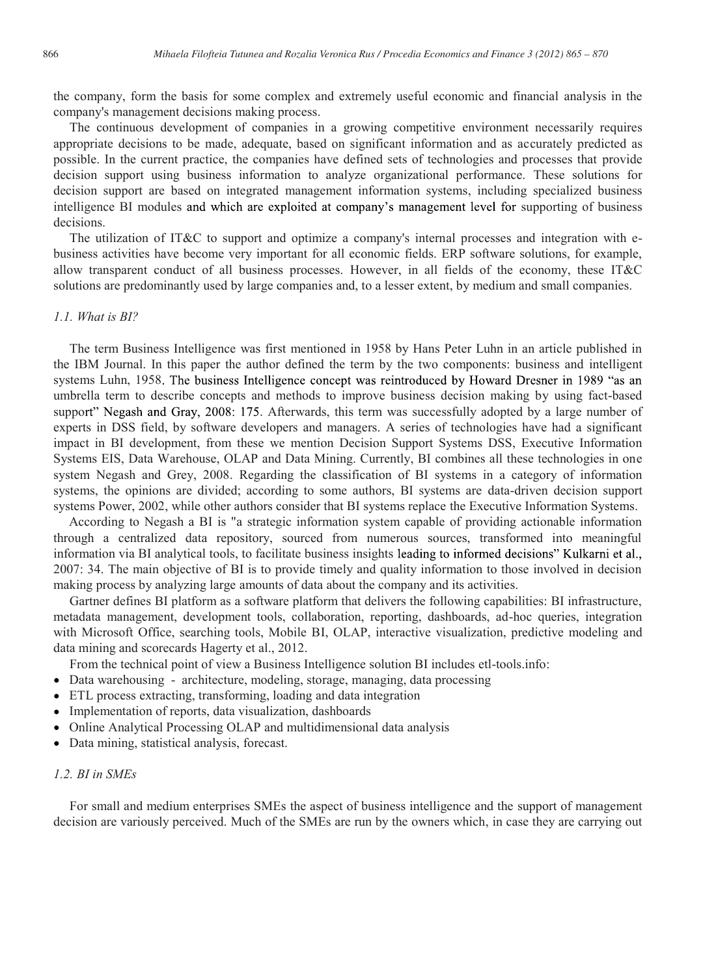the company, form the basis for some complex and extremely useful economic and financial analysis in the company's management decisions making process.

The continuous development of companies in a growing competitive environment necessarily requires appropriate decisions to be made, adequate, based on significant information and as accurately predicted as possible. In the current practice, the companies have defined sets of technologies and processes that provide decision support using business information to analyze organizational performance. These solutions for decision support are based on integrated management information systems, including specialized business intelligence BI modules and which are exploited at company's management level for supporting of business decisions.

The utilization of IT&C to support and optimize a company's internal processes and integration with ebusiness activities have become very important for all economic fields. ERP software solutions, for example, allow transparent conduct of all business processes. However, in all fields of the economy, these IT&C solutions are predominantly used by large companies and, to a lesser extent, by medium and small companies.

#### *1.1. What is BI?*

The term Business Intelligence was first mentioned in 1958 by Hans Peter Luhn in an article published in the IBM Journal. In this paper the author defined the term by the two components: business and intelligent systems Luhn, 1958. The business Intelligence concept was reintroduced by Howard Dresner in 1989 "as an umbrella term to describe concepts and methods to improve business decision making by using fact-based support" Negash and Gray, 2008: 175. Afterwards, this term was successfully adopted by a large number of experts in DSS field, by software developers and managers. A series of technologies have had a significant impact in BI development, from these we mention Decision Support Systems DSS, Executive Information Systems EIS, Data Warehouse, OLAP and Data Mining. Currently, BI combines all these technologies in one system Negash and Grey, 2008. Regarding the classification of BI systems in a category of information systems, the opinions are divided; according to some authors, BI systems are data-driven decision support systems Power, 2002, while other authors consider that BI systems replace the Executive Information Systems.

According to Negash a BI is "a strategic information system capable of providing actionable information through a centralized data repository, sourced from numerous sources, transformed into meaningful information via BI analytical tools, to facilitate business insights leading to informed decisions" Kulkarni et al., 2007: 34. The main objective of BI is to provide timely and quality information to those involved in decision making process by analyzing large amounts of data about the company and its activities.

Gartner defines BI platform as a software platform that delivers the following capabilities: BI infrastructure, metadata management, development tools, collaboration, reporting, dashboards, ad-hoc queries, integration with Microsoft Office, searching tools, Mobile BI, OLAP, interactive visualization, predictive modeling and data mining and scorecards Hagerty et al., 2012.

From the technical point of view a Business Intelligence solution BI includes etl-tools.info:

- Data warehousing architecture, modeling, storage, managing, data processing
- ETL process extracting, transforming, loading and data integration
- Implementation of reports, data visualization, dashboards
- Online Analytical Processing OLAP and multidimensional data analysis
- Data mining, statistical analysis, forecast.

### *1.2. BI in SMEs*

For small and medium enterprises SMEs the aspect of business intelligence and the support of management decision are variously perceived. Much of the SMEs are run by the owners which, in case they are carrying out